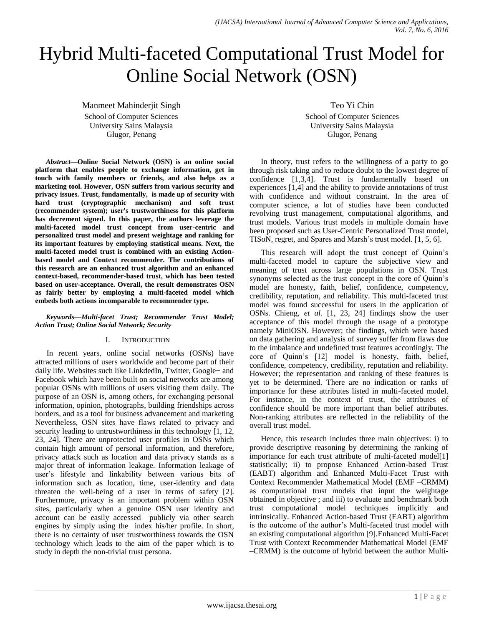# Hybrid Multi-faceted Computational Trust Model for Online Social Network (OSN)

Manmeet Mahinderjit Singh School of Computer Sciences University Sains Malaysia Glugor, Penang

*Abstract***—Online Social Network (OSN) is an online social platform that enables people to exchange information, get in touch with family members or friends, and also helps as a marketing tool. However, OSN suffers from various security and privacy issues. Trust, fundamentally, is made up of security with hard trust (cryptographic mechanism) and soft trust (recommender system); user's trustworthiness for this platform has decrement signed. In this paper, the authors leverage the multi-faceted model trust concept from user-centric and personalized trust model and present weightage and ranking for its important features by employing statistical means. Next, the multi-faceted model trust is combined with an existing Actionbased model and Context recommender. The contributions of this research are an enhanced trust algorithm and an enhanced context-based, recommender-based trust, which has been tested based on user-acceptance. Overall, the result demonstrates OSN as fairly better by employing a multi-faceted model which embeds both actions incomparable to recommender type.**

## *Keywords—Multi-facet Trust; Recommender Trust Model; Action Trust; Online Social Network; Security*

# I. INTRODUCTION

In recent years, online social networks (OSNs) have attracted millions of users worldwide and become part of their daily life. Websites such like LinkdedIn, Twitter, Google+ and Facebook which have been built on social networks are among popular OSNs with millions of users visiting them daily. The purpose of an OSN is, among others, for exchanging personal information, opinion, photographs, building friendships across borders, and as a tool for business advancement and marketing Nevertheless, OSN sites have flaws related to privacy and security leading to untrustworthiness in this technology [1, 12, 23, 24]. There are unprotected user profiles in OSNs which contain high amount of personal information, and therefore, privacy attack such as location and data privacy stands as a major threat of information leakage. Information leakage of user's lifestyle and linkability between various bits of information such as location, time, user-identity and data threaten the well-being of a user in terms of safety [2]. Furthermore, privacy is an important problem within OSN sites, particularly when a genuine OSN user identity and account can be easily accessed publicly via other search engines by simply using the index his/her profile. In short, there is no certainty of user trustworthiness towards the OSN technology which leads to the aim of the paper which is to study in depth the non-trivial trust persona.

Teo Yi Chin School of Computer Sciences University Sains Malaysia Glugor, Penang

In theory, trust refers to the willingness of a party to go through risk taking and to reduce doubt to the lowest degree of confidence [1,3,4]. Trust is fundamentally based on experiences [1,4] and the ability to provide annotations of trust with confidence and without constraint. In the area of computer science, a lot of studies have been conducted revolving trust management, computational algorithms, and trust models. Various trust models in multiple domain have been proposed such as User-Centric Personalized Trust model, TISoN, regret, and Spares and Marsh's trust model. [1, 5, 6].

This research will adopt the trust concept of Quinn's multi-faceted model to capture the subjective view and meaning of trust across large populations in OSN. Trust synonyms selected as the trust concept in the core of Quinn's model are honesty, faith, belief, confidence, competency, credibility, reputation, and reliability. This multi-faceted trust model was found successful for users in the application of OSNs. Chieng, *et al.* [1, 23, 24] findings show the user acceptance of this model through the usage of a prototype namely MiniOSN. However; the findings, which were based on data gathering and analysis of survey suffer from flaws due to the imbalance and undefined trust features accordingly. The core of Quinn's [12] model is honesty, faith, belief, confidence, competency, credibility, reputation and reliability. However; the representation and ranking of these features is yet to be determined. There are no indication or ranks of importance for these attributes listed in multi-faceted model. For instance, in the context of trust, the attributes of confidence should be more important than belief attributes. Non-ranking attributes are reflected in the reliability of the overall trust model.

Hence, this research includes three main objectives: i) to provide descriptive reasoning by determining the ranking of importance for each trust attribute of multi-faceted model[1] statistically; ii) to propose Enhanced Action-based Trust (EABT) algorithm and Enhanced Multi-Facet Trust with Context Recommender Mathematical Model (EMF –CRMM) as computational trust models that input the weightage obtained in objective ; and iii) to evaluate and benchmark both trust computational model techniques implicitly and intrinsically. Enhanced Action-based Trust (EABT) algorithm is the outcome of the author's Multi-faceted trust model with an existing computational algorithm [9].Enhanced Multi-Facet Trust with Context Recommender Mathematical Model (EMF –CRMM) is the outcome of hybrid between the author Multi-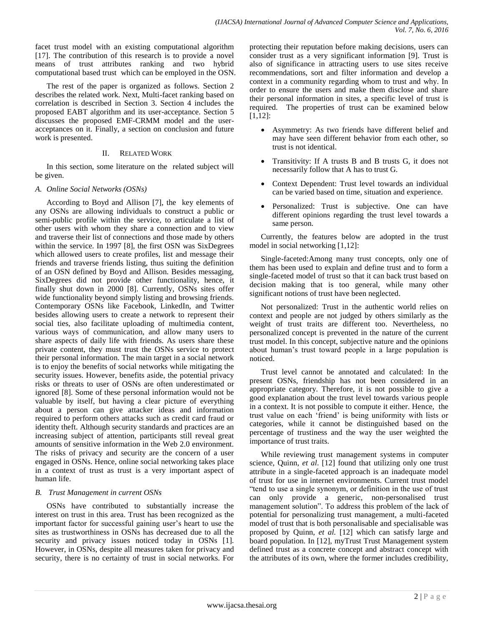facet trust model with an existing computational algorithm [17]. The contribution of this research is to provide a novel means of trust attributes ranking and two hybrid computational based trust which can be employed in the OSN.

The rest of the paper is organized as follows. Section 2 describes the related work. Next, Multi-facet ranking based on correlation is described in Section 3. Section 4 includes the proposed EABT algorithm and its user-acceptance. Section 5 discusses the proposed EMF-CRMM model and the useracceptances on it. Finally, a section on conclusion and future work is presented.

## II. RELATED WORK

In this section, some literature on the related subject will be given.

#### *A. Online Social Networks (OSNs)*

According to Boyd and Allison [7], the key elements of any OSNs are allowing individuals to construct a public or semi-public profile within the service, to articulate a list of other users with whom they share a connection and to view and traverse their list of connections and those made by others within the service. In 1997 [8], the first OSN was SixDegrees which allowed users to create profiles, list and message their friends and traverse friends listing, thus suiting the definition of an OSN defined by Boyd and Allison. Besides messaging, SixDegrees did not provide other functionality, hence, it finally shut down in 2000 [8]. Currently, OSNs sites offer wide functionality beyond simply listing and browsing friends. Contemporary OSNs like Facebook, LinkedIn, and Twitter besides allowing users to create a network to represent their social ties, also facilitate uploading of multimedia content, various ways of communication, and allow many users to share aspects of daily life with friends. As users share these private content, they must trust the OSNs service to protect their personal information. The main target in a social network is to enjoy the benefits of social networks while mitigating the security issues. However, benefits aside, the potential privacy risks or threats to user of OSNs are often underestimated or ignored [8]. Some of these personal information would not be valuable by itself, but having a clear picture of everything about a person can give attacker ideas and information required to perform others attacks such as credit card fraud or identity theft. Although security standards and practices are an increasing subject of attention, participants still reveal great amounts of sensitive information in the Web 2.0 environment. The risks of privacy and security are the concern of a user engaged in OSNs. Hence, online social networking takes place in a context of trust as trust is a very important aspect of human life.

## *B. Trust Management in current OSNs*

OSNs have contributed to substantially increase the interest on trust in this area. Trust has been recognized as the important factor for successful gaining user's heart to use the sites as trustworthiness in OSNs has decreased due to all the security and privacy issues noticed today in OSNs [1]. However, in OSNs, despite all measures taken for privacy and security, there is no certainty of trust in social networks. For protecting their reputation before making decisions, users can consider trust as a very significant information [9]. Trust is also of significance in attracting users to use sites receive recommendations, sort and filter information and develop a context in a community regarding whom to trust and why. In order to ensure the users and make them disclose and share their personal information in sites, a specific level of trust is required. The properties of trust can be examined below [1,12]:

- Asymmetry: As two friends have different belief and may have seen different behavior from each other, so trust is not identical.
- Transitivity: If A trusts B and B trusts G, it does not necessarily follow that A has to trust G.
- Context Dependent: Trust level towards an individual can be varied based on time, situation and experience.
- Personalized: Trust is subjective. One can have different opinions regarding the trust level towards a same person.

Currently, the features below are adopted in the trust model in social networking [1,12]:

Single-faceted:Among many trust concepts, only one of them has been used to explain and define trust and to form a single-faceted model of trust so that it can back trust based on decision making that is too general, while many other significant notions of trust have been neglected.

Not personalized: Trust in the authentic world relies on context and people are not judged by others similarly as the weight of trust traits are different too. Nevertheless, no personalized concept is prevented in the nature of the current trust model. In this concept, subjective nature and the opinions about human's trust toward people in a large population is noticed.

Trust level cannot be annotated and calculated: In the present OSNs, friendship has not been considered in an appropriate category. Therefore, it is not possible to give a good explanation about the trust level towards various people in a context. It is not possible to compute it either. Hence, the trust value on each 'friend' is being uniformity with lists or categories, while it cannot be distinguished based on the percentage of trustiness and the way the user weighted the importance of trust traits.

While reviewing trust management systems in computer science, Quinn, *et al*. [12] found that utilizing only one trust attribute in a single-faceted approach is an inadequate model of trust for use in internet environments. Current trust model "tend to use a single synonym, or definition in the use of trust can only provide a generic, non-personalised trust management solution". To address this problem of the lack of potential for personalizing trust management, a multi-faceted model of trust that is both personalisable and specialisable was proposed by Quinn, *et al.* [12] which can satisfy large and board population. In [12], myTrust Trust Management system defined trust as a concrete concept and abstract concept with the attributes of its own, where the former includes credibility,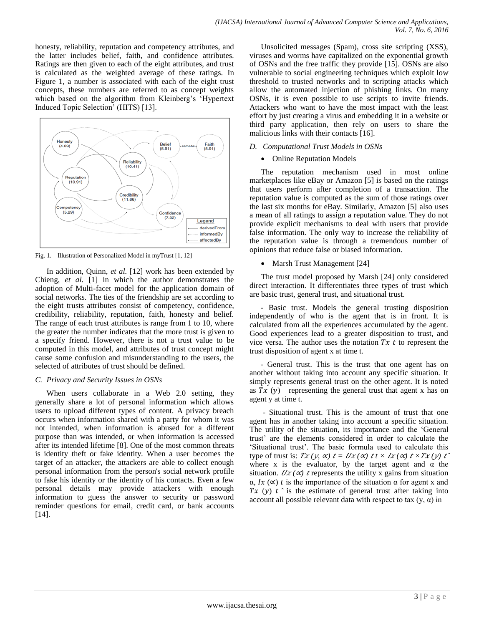honesty, reliability, reputation and competency attributes, and the latter includes belief, faith, and confidence attributes. Ratings are then given to each of the eight attributes, and trust is calculated as the weighted average of these ratings. In Figure 1, a number is associated with each of the eight trust concepts, these numbers are referred to as concept weights which based on the algorithm from Kleinberg's 'Hypertext Induced Topic Selection' (HITS) [13].



Fig. 1. Illustration of Personalized Model in myTrust [1, 12]

In addition, Quinn, *et al.* [12] work has been extended by Chieng, *et al.* [1] in which the author demonstrates the adoption of Multi-facet model for the application domain of social networks. The ties of the friendship are set according to the eight trusts attributes consist of competency, confidence, credibility, reliability, reputation, faith, honesty and belief. The range of each trust attributes is range from 1 to 10, where the greater the number indicates that the more trust is given to a specify friend. However, there is not a trust value to be computed in this model, and attributes of trust concept might cause some confusion and misunderstanding to the users, the selected of attributes of trust should be defined.

## *C. Privacy and Security Issues in OSNs*

When users collaborate in a Web 2.0 setting, they generally share a lot of personal information which allows users to upload different types of content. A privacy breach occurs when information shared with a party for whom it was not intended, when information is abused for a different purpose than was intended, or when information is accessed after its intended lifetime [8]. One of the most common threats is identity theft or fake identity. When a user becomes the target of an attacker, the attackers are able to collect enough personal information from the person's social network profile to fake his identity or the identity of his contacts. Even a few personal details may provide attackers with enough information to guess the answer to security or password reminder questions for email, credit card, or bank accounts [14].

Unsolicited messages (Spam), cross site scripting (XSS), viruses and worms have capitalized on the exponential growth of OSNs and the free traffic they provide [15]. OSNs are also vulnerable to social engineering techniques which exploit low threshold to trusted networks and to scripting attacks which allow the automated injection of phishing links. On many OSNs, it is even possible to use scripts to invite friends. Attackers who want to have the most impact with the least effort by just creating a virus and embedding it in a website or third party application, then rely on users to share the malicious links with their contacts [16].

## *D. Computational Trust Models in OSNs*

• Online Reputation Models

The reputation mechanism used in most online marketplaces like eBay or Amazon [5] is based on the ratings that users perform after completion of a transaction. The reputation value is computed as the sum of those ratings over the last six months for eBay. Similarly, Amazon [5] also uses a mean of all ratings to assign a reputation value. They do not provide explicit mechanisms to deal with users that provide false information. The only way to increase the reliability of the reputation value is through a tremendous number of opinions that reduce false or biased information.

• Marsh Trust Management [24]

The trust model proposed by Marsh [24] only considered direct interaction. It differentiates three types of trust which are basic trust, general trust, and situational trust.

- Basic trust. Models the general trusting disposition independently of who is the agent that is in front. It is calculated from all the experiences accumulated by the agent. Good experiences lead to a greater disposition to trust, and vice versa. The author uses the notation  $Tx t$  to represent the trust disposition of agent x at time t.

- General trust. This is the trust that one agent has on another without taking into account any specific situation. It simply represents general trust on the other agent. It is noted as  $Tx(y)$  representing the general trust that agent x has on agent y at time t.

- Situational trust. This is the amount of trust that one agent has in another taking into account a specific situation. The utility of the situation, its importance and the 'General trust' are the elements considered in order to calculate the 'Situational trust'. The basic formula used to calculate this type of trust is:  $Tx(y, \alpha) t = Ux(\alpha) t + \lambda Ix(\alpha) t \times Tx(y) t^{\alpha}$ where x is the evaluator, by the target agent and  $\alpha$  the situation.  $Ux(\alpha)$  *t* represents the utility x gains from situation  $\alpha$ ,  $Ix$  ( $\alpha$ ) t is the importance of the situation  $\alpha$  for agent x and Tx (y)  $t \hat{ }$  is the estimate of general trust after taking into account all possible relevant data with respect to tax  $(y, \alpha)$  in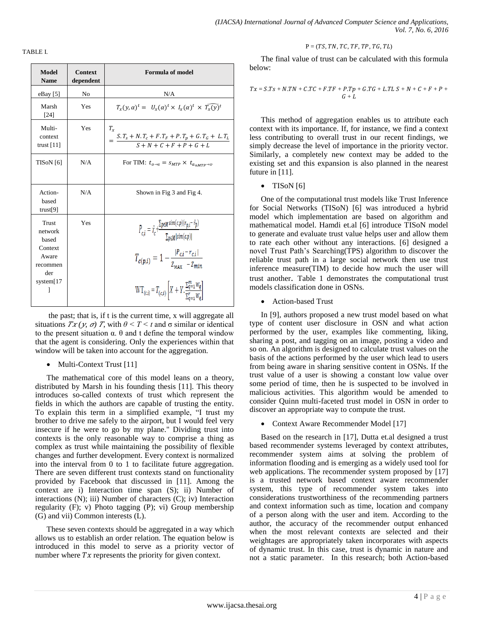| <b>Model</b><br><b>Name</b>                                                        | <b>Context</b><br>dependent | <b>Formula of model</b>                                                                                                                                                                                                                                              |  |  |  |
|------------------------------------------------------------------------------------|-----------------------------|----------------------------------------------------------------------------------------------------------------------------------------------------------------------------------------------------------------------------------------------------------------------|--|--|--|
| $e$ Bay [5]                                                                        | No                          | N/A                                                                                                                                                                                                                                                                  |  |  |  |
| Marsh<br>$[24]$                                                                    | Yes                         | $T_r(y, \alpha)^t = U_x(\alpha)^t \times I_x(\alpha)^t \times \widehat{T_x(y)^t}$                                                                                                                                                                                    |  |  |  |
| Multi-<br>context<br>trust $[11]$                                                  | Yes                         | $T_{x}$<br>$= \frac{S.T_s + N.T_c + F.T_F + P.T_p + G.T_G + L.T_L}{S + N + C + F + P + G + L}$                                                                                                                                                                       |  |  |  |
| TISON [6]                                                                          | N/A                         | For TIM: $t_{o\rightarrow s} = s_{MTP} \times t_{a_{nMTP}\rightarrow s}$ .                                                                                                                                                                                           |  |  |  |
| Action-<br>based<br>trust[9]                                                       | N/A                         | Shown in Fig 3 and Fig 4.                                                                                                                                                                                                                                            |  |  |  |
| Trust<br>network<br>based<br>Context<br>Aware<br>recommen<br>der<br>system[17<br>1 | Yes                         | $P_{c,i} = \bar{r}_c + \frac{\sum_{p \in M} sim(c, p)(r_{p,i} - r_p)}{\sum_{n \in M}  sim(c, p) }$<br>$T_{c(p,i)} = 1 - \frac{ P_{c,i} - r_{c,i} }{z_{c(n)} - z_{m,i}}$<br>$WT_{(c,i)} = T_{(c,i)}\left[X + Y, \frac{\sum_{q=1}^{n} W_q}{\sum_{r=1}^{r} W_r}\right]$ |  |  |  |

the past; that is, if t is the current time, x will aggregate all situations  $Tx(y, \sigma)$  *T*, with  $\theta \leq T \leq t$  and  $\sigma$  similar or identical to the present situation α. θ and t define the temporal window that the agent is considering. Only the experiences within that window will be taken into account for the aggregation.

#### • Multi-Context Trust [11]

The mathematical core of this model leans on a theory, distributed by Marsh in his founding thesis [11]. This theory introduces so-called contexts of trust which represent the fields in which the authors are capable of trusting the entity. To explain this term in a simplified example, "I trust my brother to drive me safely to the airport, but I would feel very insecure if he were to go by my plane." Dividing trust into contexts is the only reasonable way to comprise a thing as complex as trust while maintaining the possibility of flexible changes and further development. Every context is normalized into the interval from 0 to 1 to facilitate future aggregation. There are seven different trust contexts stand on functionality provided by Facebook that discussed in [11]. Among the context are i) Interaction time span (S); ii) Number of interactions (N); iii) Number of characters (C); iv) Interaction regularity (F); v) Photo tagging (P); vi) Group membership (G) and vii) Common interests (L).

These seven contexts should be aggregated in a way which allows us to establish an order relation. The equation below is introduced in this model to serve as a priority vector of number where  $Tx$  represents the priority for given context.

# $P = (TS, TN, TC, TF, TP, TG, TL)$

The final value of trust can be calculated with this formula below:

$$
Tx = S.Ts + N.TN + C.TC + F.TF + P.Tp + G.TG + L.TL S + N + C + F + P + G + L.TL S + N + C + F + P + F
$$

This method of aggregation enables us to attribute each context with its importance. If, for instance, we find a context less contributing to overall trust in our recent findings, we simply decrease the level of importance in the priority vector. Similarly, a completely new context may be added to the existing set and this expansion is also planned in the nearest future in [11].

#### $\bullet$  TISoN [6]

One of the computational trust models like Trust Inference for Social Networks (TISoN) [6] was introduced a hybrid model which implementation are based on algorithm and mathematical model. Hamdi et.al [6] introduce TISoN model to generate and evaluate trust value helps user and allow them to rate each other without any interactions. [6] designed a novel Trust Path's Searching(TPS) algorithm to discover the reliable trust path in a large social network then use trust inference measure(TIM) to decide how much the user will trust another. Table 1 demonstrates the computational trust models classification done in OSNs.

• Action-based Trust

In [9], authors proposed a new trust model based on what type of content user disclosure in OSN and what action performed by the user, examples like commenting, liking, sharing a post, and tagging on an image, posting a video and so on. An algorithm is designed to calculate trust values on the basis of the actions performed by the user which lead to users from being aware in sharing sensitive content in OSNs. If the trust value of a user is showing a constant low value over some period of time, then he is suspected to be involved in malicious activities. This algorithm would be amended to consider Quinn multi-faceted trust model in OSN in order to discover an appropriate way to compute the trust.

• Context Aware Recommender Model [17]

Based on the research in [17], Dutta et.al designed a trust based recommender systems leveraged by context attributes, recommender system aims at solving the problem of information flooding and is emerging as a widely used tool for web applications. The recommender system proposed by [17] is a trusted network based context aware recommender system, this type of recommender system takes into considerations trustworthiness of the recommending partners and context information such as time, location and company of a person along with the user and item. According to the author, the accuracy of the recommender output enhanced when the most relevant contexts are selected and their weightages are appropriately taken incorporates with aspects of dynamic trust. In this case, trust is dynamic in nature and not a static parameter. In this research; both Action-based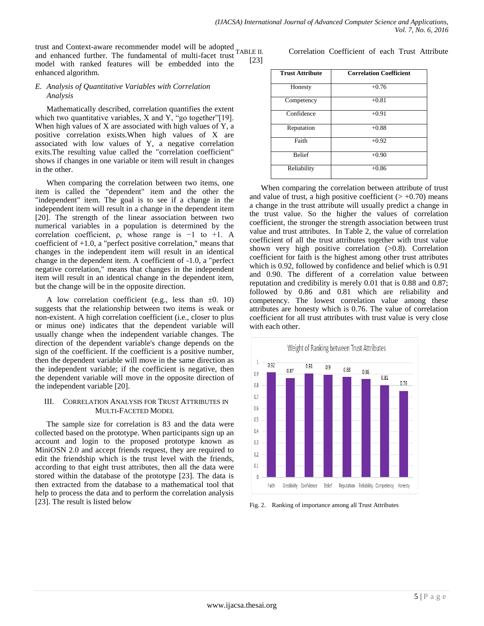trust and Context-aware recommender model will be adopted and enhanced further. The fundamental of multi-facet trust model with ranked features will be embedded into the enhanced algorithm. [23]

# *E. Analysis of Quantitative Variables with Correlation Analysis*

Mathematically described, correlation quantifies the extent which two quantitative variables,  $X$  and  $Y$ , "go together"[19]. When high values of X are associated with high values of Y, a positive correlation exists.When high values of X are associated with low values of Y, a negative correlation exits.The resulting value called the "correlation coefficient" shows if changes in one variable or item will result in changes in the other.

When comparing the correlation between two items, one item is called the "dependent" item and the other the "independent" item. The goal is to see if a change in the independent item will result in a change in the dependent item [20]. The strength of the linear association between two numerical variables in a population is determined by the correlation coefficient,  $\rho$ , whose range is  $-1$  to  $+1$ . A coefficient of +1.0, a "perfect positive correlation," means that changes in the independent item will result in an identical change in the dependent item. A coefficient of -1.0, a "perfect negative correlation," means that changes in the independent item will result in an identical change in the dependent item, but the change will be in the opposite direction.

A low correlation coefficient (e.g., less than  $\pm 0$ . 10) suggests that the relationship between two items is weak or non-existent. A high correlation coefficient (i.e., closer to plus or minus one) indicates that the dependent variable will usually change when the independent variable changes. The direction of the dependent variable's change depends on the sign of the coefficient. If the coefficient is a positive number, then the dependent variable will move in the same direction as the independent variable; if the coefficient is negative, then the dependent variable will move in the opposite direction of the independent variable [20].

# III. CORRELATION ANALYSIS FOR TRUST ATTRIBUTES IN MULTI-FACETED MODEL

The sample size for correlation is 83 and the data were collected based on the prototype. When participants sign up an account and login to the proposed prototype known as MiniOSN 2.0 and accept friends request, they are required to edit the friendship which is the trust level with the friends, according to that eight trust attributes, then all the data were stored within the database of the prototype [23]. The data is then extracted from the database to a mathematical tool that help to process the data and to perform the correlation analysis [23]. The result is listed below

Correlation Coefficient of each Trust Attribute

| <b>Trust Attribute</b> | <b>Correlation Coefficient</b> |
|------------------------|--------------------------------|
| Honesty                | $+0.76$                        |
| Competency             | $+0.81$                        |
| Confidence             | $+0.91$                        |
| Reputation             | $+0.88$                        |
| Faith                  | $+0.92$                        |
| <b>Belief</b>          | $+0.90$                        |
| Reliability            | $+0.86$                        |

When comparing the correlation between attribute of trust and value of trust, a high positive coefficient  $(> +0.70)$  means a change in the trust attribute will usually predict a change in the trust value. So the higher the values of correlation coefficient, the stronger the strength association between trust value and trust attributes. In Table 2, the value of correlation coefficient of all the trust attributes together with trust value shown very high positive correlation (>0.8). Correlation coefficient for faith is the highest among other trust attributes which is 0.92, followed by confidence and belief which is 0.91 and 0.90. The different of a correlation value between reputation and credibility is merely 0.01 that is 0.88 and 0.87; followed by 0.86 and 0.81 which are reliability and competency. The lowest correlation value among these attributes are honesty which is 0.76. The value of correlation coefficient for all trust attributes with trust value is very close with each other.



Fig. 2. Ranking of importance among all Trust Attributes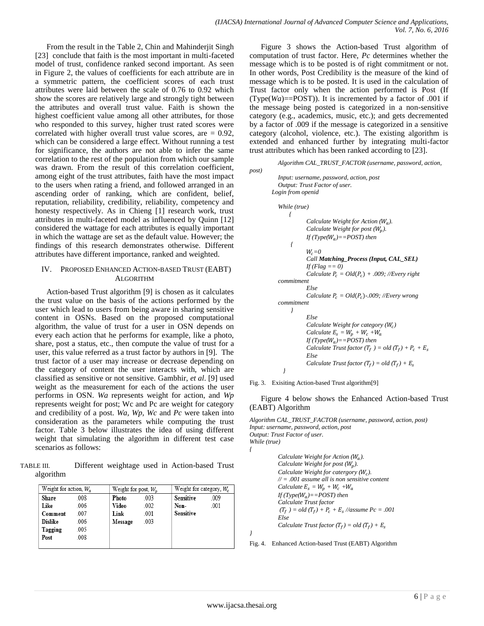From the result in the Table 2, Chin and Mahinderjit Singh [23] conclude that faith is the most important in multi-faceted model of trust, confidence ranked second important. As seen in Figure 2, the values of coefficients for each attribute are in a symmetric pattern, the coefficient scores of each trust attributes were laid between the scale of 0.76 to 0.92 which show the scores are relatively large and strongly tight between the attributes and overall trust value. Faith is shown the highest coefficient value among all other attributes, for those who responded to this survey, higher trust rated scores were correlated with higher overall trust value scores, are  $= 0.92$ , which can be considered a large effect. Without running a test for significance, the authors are not able to infer the same correlation to the rest of the population from which our sample was drawn. From the result of this correlation coefficient, among eight of the trust attributes, faith have the most impact to the users when rating a friend, and followed arranged in an ascending order of ranking, which are confident, belief, reputation, reliability, credibility, reliability, competency and honesty respectively. As in Chieng [1] research work, trust attributes in multi-faceted model as influenced by Quinn [12] considered the wattage for each attributes is equally important in which the wattage are set as the default value. However; the findings of this research demonstrates otherwise. Different attributes have different importance, ranked and weighted.

## IV. PROPOSED ENHANCED ACTION-BASED TRUST (EABT) ALGORITHM

Action-based Trust algorithm [9] is chosen as it calculates the trust value on the basis of the actions performed by the user which lead to users from being aware in sharing sensitive content in OSNs. Based on the proposed computational algorithm, the value of trust for a user in OSN depends on every each action that he performs for example, like a photo, share, post a status, etc., then compute the value of trust for a user, this value referred as a trust factor by authors in [9]. The trust factor of a user may increase or decrease depending on the category of content the user interacts with, which are classified as sensitive or not sensitive. Gambhir, *et al*. [9] used weight as the measurement for each of the actions the user performs in OSN. *Wa* represents weight for action, and *Wp* represents weight for post; Wc and Pc are weight for category and credibility of a post. *Wa, Wp, Wc* and *Pc* were taken into consideration as the parameters while computing the trust factor. Table 3 below illustrates the idea of using different weight that simulating the algorithm in different test case scenarios as follows:

TABLE III. Different weightage used in Action-based Trust algorithm

| Weight for action, $W_a$ |      |         | Weight for post, $W_p$ |                  | Weight for category, $W_c$ |  |
|--------------------------|------|---------|------------------------|------------------|----------------------------|--|
| Share                    | .008 | Photo   | .003                   | Sensitive        | .009                       |  |
| Like                     | .006 | Video   | .002                   | Non-             | .001                       |  |
| Comment                  | .007 | Link    | .001                   | <b>Sensitive</b> |                            |  |
| Dislike                  | .006 | Message | .003                   |                  |                            |  |
| Tagging                  | .005 |         |                        |                  |                            |  |
| Post                     | .008 |         |                        |                  |                            |  |
|                          |      |         |                        |                  |                            |  |

Figure 3 shows the Action-based Trust algorithm of computation of trust factor. Here, *Pc* determines whether the message which is to be posted is of right commitment or not. In other words, Post Credibility is the measure of the kind of message which is to be posted. It is used in the calculation of Trust factor only when the action performed is Post (If (Type( $Wa$ )==POST)). It is incremented by a factor of .001 if the message being posted is categorized in a non-sensitive category (e.g., academics, music, etc.); and gets decremented by a factor of .009 if the message is categorized in a sensitive category (alcohol, violence, etc.). The existing algorithm is extended and enhanced further by integrating multi-factor trust attributes which has been ranked according to [23].

```
Algorithm CAL_TRUST_FACTOR (username, password, action,
```
*post)*

```
Input: username, password, action, post
  Output: Trust Factor of user.
Login from openid
  While (true)
       {
              Calculate Weight for Action ( ).
             Calculate Weight for post ( ).
             If (Type(W_a)==POST) then
        {
             W_c = 0Call Matching_Process (Input, CAL_SEL)
             If (Flag == 0)
             Calculate P_c = Old(P_c) + .009; //Every right
  commitment
             Else
             Calculate P_c = Old(P_c) - .009; //Every wrong
  commitment
        }
             Else
             Calculate Weight for category (W_c)
             Calculate E_s = W_p + W_c + W_aIf (Type(W_a)==POST) then
             Calculate Trust factor (T_f) = old(T_f) + P_c +Else
             Calculate Trust factor (T_f) = old(T_f) + }
```
Fig. 3. Exisiting Action-based Trust algorithm[9]

Figure 4 below shows the Enhanced Action-based Trust (EABT) Algorithm

*Algorithm CAL\_TRUST\_FACTOR (username, password, action, post) Input: username, password, action, post Output: Trust Factor of user. While (true) { Calculate Weight for Action ( ). Calculate Weight for post ( ).*

Calculate Weight for catergory (W<sub>c</sub>). *// = .001 assume all is non sensitive content Calculate*  $E_s = W_p + W_c + W_a$ *If*  $(Type(W_a) == POST)$  then *Calculate Trust factor*  $(T_f) = old(T_f) + P_c + E_s$  //assume  $Pc = .001$ *Else Calculate Trust factor*  $(T_f) = old(T_f) +$ 

Fig. 4. Enhanced Action-based Trust (EABT) Algorithm

*}*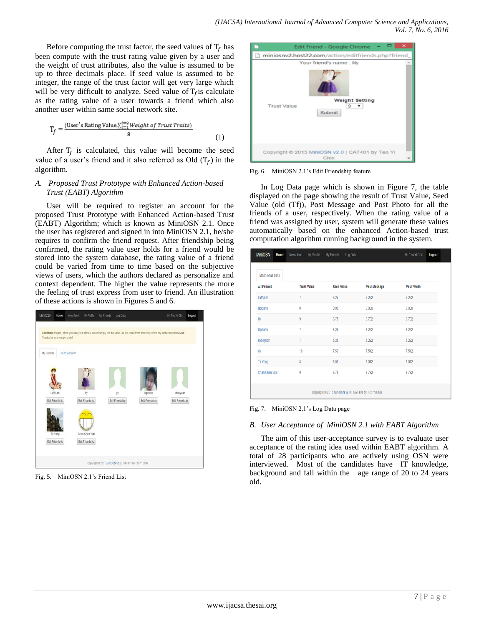Before computing the trust factor, the seed values of  $T_f$  has been compute with the trust rating value given by a user and the weight of trust attributes, also the value is assumed to be up to three decimals place. If seed value is assumed to be integer, the range of the trust factor will get very large which will be very difficult to analyze. Seed value of  $T_f$  is calculate as the rating value of a user towards a friend which also another user within same social network site.

$$
T_f = \frac{\text{(User's Rating Value: } \sum_{i=1}^{i=8} Weight \ of \ Trust \ Trust)}{8} \tag{1}
$$

After  $T_f$  is calculated, this value will become the seed value of a user's friend and it also referred as Old  $(T_f)$  in the algorithm.

# *A. Proposed Trust Prototype with Enhanced Action-based Trust (EABT) Algorithm*

User will be required to register an account for the proposed Trust Prototype with Enhanced Action-based Trust (EABT) Algorithm; which is known as MiniOSN 2.1. Once the user has registered and signed in into MiniOSN 2.1, he/she requires to confirm the friend request. After friendship being confirmed, the rating value user holds for a friend would be stored into the system database, the rating value of a friend could be varied from time to time based on the subjective views of users, which the authors declared as personalize and context dependent. The higher the value represents the more the feeling of trust express from user to friend. An illustration of these actions is shown in Figures 5 and 6.



Fig. 5. MiniOSN 2.1's Friend List



Fig. 6. MiniOSN 2.1's Edit Friendship feature

In Log Data page which is shown in Figure 7, the table displayed on the page showing the result of Trust Value, Seed Value (old (Tf)), Post Message and Post Photo for all the friends of a user, respectively. When the rating value of a friend was assigned by user, system will generate these values automatically based on the enhanced Action-based trust computation algorithm running background in the system.

| <b>MiniOSN</b><br>Home | News feed<br>My Profile | My Friends<br>Log Data                                |              | Hi, Teo Yi Chin<br>Logout |  |
|------------------------|-------------------------|-------------------------------------------------------|--------------|---------------------------|--|
| Mean of all traits     |                         |                                                       |              |                           |  |
| <b>All Friends</b>     | <b>Trust Value</b>      | <b>Seed Value</b>                                     | Post Message | Post Photo                |  |
| LuffyLim               | 7                       | 5.25                                                  | 5.262        | 5.262                     |  |
| lapbann                | 0                       | 0.00                                                  | 0.000        | 0.000                     |  |
| Ily                    | 9                       | 6.75                                                  | 6.762        | 6.762                     |  |
| lapbann                | $\overline{1}$          | 5.25                                                  | 5.262        | 5.262                     |  |
| khooyuan               | $\overline{7}$          | 5.25                                                  | 5.262        | 5.262                     |  |
| yh                     | 10                      | 7.50                                                  | 7.512        | 7.512                     |  |
| <b>Tk Yong</b>         | 8                       | 6.00                                                  | 6.012        | 6.012                     |  |
| Chan Chen Wai          | ğ                       | 6.75                                                  | 6.762        | 6.762                     |  |
|                        |                         | Copyright @ 2015 MiniOSN v2.0   CAT401 by Teo Yi Chin |              |                           |  |

Fig. 7. MiniOSN 2.1's Log Data page

## *B. User Acceptance of MiniOSN 2.1 with EABT Algorithm*

The aim of this user-acceptance survey is to evaluate user acceptance of the rating idea used within EABT algorithm. A total of 28 participants who are actively using OSN were interviewed. Most of the candidates have IT knowledge, background and fall within the age range of 20 to 24 years old.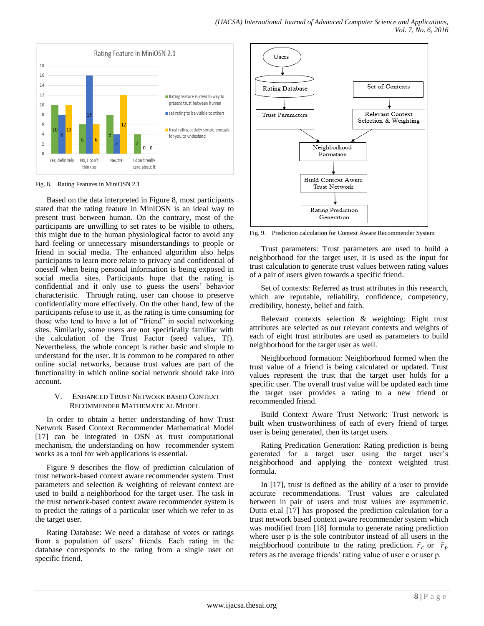

Fig. 8. Rating Features in MiniOSN 2.1

Based on the data interpreted in Figure 8, most participants stated that the rating feature in MiniOSN is an ideal way to present trust between human. On the contrary, most of the participants are unwilling to set rates to be visible to others, this might due to the human physiological factor to avoid any hard feeling or unnecessary misunderstandings to people or friend in social media. The enhanced algorithm also helps participants to learn more relate to privacy and confidential of oneself when being personal information is being exposed in social media sites. Participants hope that the rating is confidential and it only use to guess the users' behavior characteristic. Through rating, user can choose to preserve confidentiality more effectively. On the other hand, few of the participants refuse to use it, as the rating is time consuming for those who tend to have a lot of "friend" in social networking sites. Similarly, some users are not specifically familiar with the calculation of the Trust Factor (seed values, Tf). Nevertheless, the whole concept is rather basic and simple to understand for the user. It is common to be compared to other online social networks, because trust values are part of the functionality in which online social network should take into account.

## V. ENHANCED TRUST NETWORK BASED CONTEXT RECOMMENDER MATHEMATICAL MODEL

In order to obtain a better understanding of how Trust Network Based Context Recommender Mathematical Model [17] can be integrated in OSN as trust computational mechanism, the understanding on how recommender system works as a tool for web applications is essential.

Figure 9 describes the flow of prediction calculation of trust network-based context aware recommender system. Trust parameters and selection & weighting of relevant context are used to build a neighborhood for the target user. The task in the trust network-based context aware recommender system is to predict the ratings of a particular user which we refer to as the target user.

Rating Database: We need a database of votes or ratings from a population of users' friends. Each rating in the database corresponds to the rating from a single user on specific friend.



Fig. 9. Prediction calculation for Context Aware Recommender System

Trust parameters: Trust parameters are used to build a neighborhood for the target user, it is used as the input for trust calculation to generate trust values between rating values of a pair of users given towards a specific friend.

Set of contexts: Referred as trust attributes in this research, which are reputable, reliability, confidence, competency, credibility, honesty, belief and faith.

Relevant contexts selection & weighting: Eight trust attributes are selected as our relevant contexts and weights of each of eight trust attributes are used as parameters to build neighborhood for the target user as well.

Neighborhood formation: Neighborhood formed when the trust value of a friend is being calculated or updated. Trust values represent the trust that the target user holds for a specific user. The overall trust value will be updated each time the target user provides a rating to a new friend or recommended friend.

Build Context Aware Trust Network: Trust network is built when trustworthiness of each of every friend of target user is being generated, then its target users.

Rating Predication Generation: Rating prediction is being generated for a target user using the target user's neighborhood and applying the context weighted trust formula.

In [17], trust is defined as the ability of a user to provide accurate recommendations. Trust values are calculated between in pair of users and trust values are asymmetric. Dutta et.al [17] has proposed the prediction calculation for a trust network based context aware recommender system which was modified from [18] formula to generate rating prediction where user p is the sole contributor instead of all users in the neighborhood contribute to the rating prediction.  $\bar{r}_c$  or  $\bar{r}_p$ refers as the average friends' rating value of user c or user p.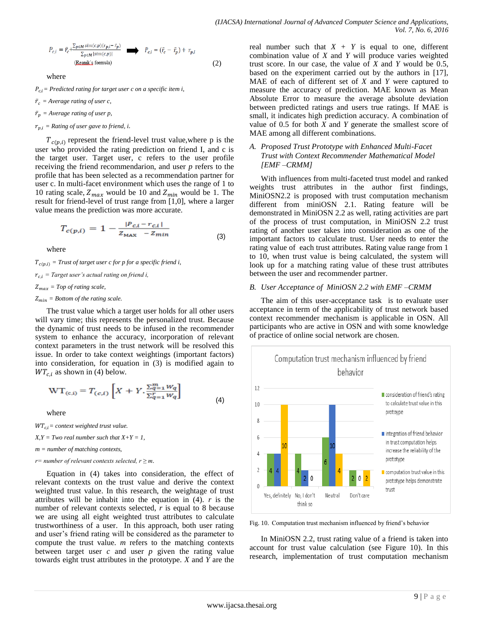$$
P_{c,i} = \bar{r}_c + \frac{\sum_{p \in M} sim(c, p)(r_{p,i} - \bar{r}_p)}{\sum_{p \in M} |sim(c, p)|} \longrightarrow P_{c,i} = (\bar{r}_c - \bar{r}_p) + r_{p,i}
$$
\n(2)

where

*= Predicted rating for target user c on a specific item i,*

 $\bar{r}_c$  = Average rating of user c,

 $\bar{r}_p$  = Average rating of user p,

 $r_{p,i}$  = Rating of user gave to friend, i.

 $T_{c(p,i)}$  represent the friend-level trust value, where p is the user who provided the rating prediction on friend I, and c is the target user. Target user, c refers to the user profile receiving the friend recommendarion, and user *p* refers to the profile that has been selected as a recommendation partner for user c. In multi-facet environment which uses the range of 1 to 10 rating scale,  $Z_{max}$  would be 10 and  $Z_{min}$  would be 1. The result for friend-level of trust range from [1,0], where a larger value means the prediction was more accurate.

$$
T_{c(p,i)} = 1 - \frac{|P_{c,i} - r_{c,i}|}{Z_{\text{MAX}} - Z_{\text{min}}}
$$
\n(3)

where

 $T_{c(p,i)}$  = Trust of target user c for p for a specific friend i, *= Target user's actual rating on friend i, = Top of rating scale,*  $Z_{min} = Bottom$  of the rating scale.

The trust value which a target user holds for all other users will vary time; this represents the personalized trust. Because the dynamic of trust needs to be infused in the recommender system to enhance the accuracy, incorporation of relevant context parameters in the trust network will be resolved this issue. In order to take context weightings (important factors) into consideration, for equation in (3) is modified again to  $WT_{c,i}$  as shown in (4) below.

$$
WT_{(c,i)} = T_{(c,i)} \left[ X + Y \cdot \frac{\sum_{q=1}^{m} W_q}{\sum_{q=1}^{r} W_q} \right]
$$
\n(4)

where

 $WT_{c,i} = context weighted trust value.$ 

 $X, Y = Two$  *real number such that*  $X+Y = 1$ ,

*m = number of matching contexts,*

*r= number of relevant contexts selected, r ≥ m*.

Equation in (4) takes into consideration, the effect of relevant contexts on the trust value and derive the context weighted trust value. In this research, the weightage of trust attributes will be inhabit into the equation in  $(4)$ . *r* is the number of relevant contexts selected, *r* is equal to 8 because we are using all eight weighted trust attributes to calculate trustworthiness of a user. In this approach, both user rating and user's friend rating will be considered as the parameter to compute the trust value. *m* refers to the matching contexts between target user  $c$  and user  $p$  given the rating value towards eight trust attributes in the prototype. *X* and *Y* are the

real number such that  $X + Y$  is equal to one, different combination value of *X* and *Y* will produce varies weighted trust score. In our case, the value of *X* and *Y* would be 0.5, based on the experiment carried out by the authors in [17], MAE of each of different set of *X* and *Y* were captured to measure the accuracy of prediction. MAE known as Mean Absolute Error to measure the average absolute deviation between predicted ratings and users true ratings. If MAE is small, it indicates high prediction accuracy. A combination of value of 0.5 for both *X* and *Y* generate the smallest score of MAE among all different combinations.

# *A. Proposed Trust Prototype with Enhanced Multi-Facet Trust with Context Recommender Mathematical Model [EMF –CRMM]*

With influences from multi-faceted trust model and ranked weights trust attributes in the author first findings, MiniOSN2.2 is proposed with trust computation mechanism different from miniOSN 2.1. Rating feature will be demonstrated in MiniOSN 2.2 as well, rating activities are part of the process of trust computation, in MiniOSN 2.2 trust rating of another user takes into consideration as one of the important factors to calculate trust. User needs to enter the rating value of each trust attributes. Rating value range from 1 to 10, when trust value is being calculated, the system will look up for a matching rating value of these trust attributes between the user and recommender partner.

# *B. User Acceptance of MiniOSN 2.2 with EMF –CRMM*

The aim of this user-acceptance task is to evaluate user acceptance in term of the applicability of trust network based context recommender mechanism is applicable in OSN. All participants who are active in OSN and with some knowledge of practice of online social network are chosen.



Fig. 10. Computation trust mechanism influenced by friend's behavior

In MiniOSN 2.2, trust rating value of a friend is taken into account for trust value calculation (see Figure 10). In this research, implementation of trust computation mechanism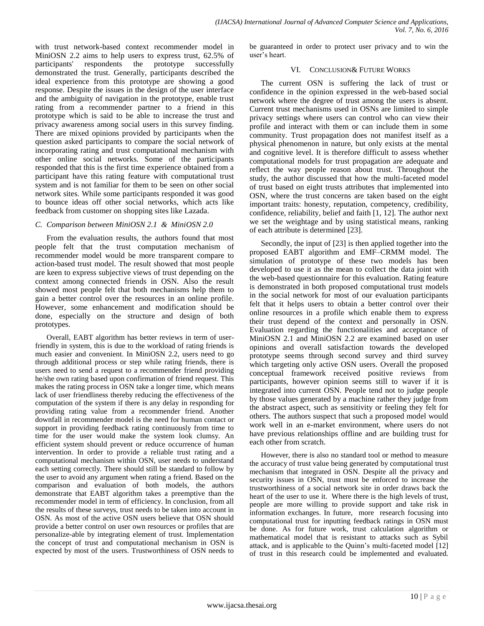with trust network-based context recommender model in MiniOSN 2.2 aims to help users to express trust, 62.5% of participants' respondents the prototype successfully demonstrated the trust. Generally, participants described the ideal experience from this prototype are showing a good response. Despite the issues in the design of the user interface and the ambiguity of navigation in the prototype, enable trust rating from a recommender partner to a friend in this prototype which is said to be able to increase the trust and privacy awareness among social users in this survey finding. There are mixed opinions provided by participants when the question asked participants to compare the social network of incorporating rating and trust computational mechanism with other online social networks. Some of the participants responded that this is the first time experience obtained from a participant have this rating feature with computational trust system and is not familiar for them to be seen on other social network sites. While some participants responded it was good to bounce ideas off other social networks, which acts like feedback from customer on shopping sites like Lazada.

# *C. Comparison between MiniOSN 2.1 & MiniOSN 2.0*

From the evaluation results, the authors found that most people felt that the trust computation mechanism of recommender model would be more transparent compare to action-based trust model. The result showed that most people are keen to express subjective views of trust depending on the context among connected friends in OSN. Also the result showed most people felt that both mechanisms help them to gain a better control over the resources in an online profile. However, some enhancement and modification should be done, especially on the structure and design of both prototypes.

Overall, EABT algorithm has better reviews in term of userfriendly in system, this is due to the workload of rating friends is much easier and convenient. In MiniOSN 2.2, users need to go through additional process or step while rating friends, there is users need to send a request to a recommender friend providing he/she own rating based upon confirmation of friend request. This makes the rating process in OSN take a longer time, which means lack of user friendliness thereby reducing the effectiveness of the computation of the system if there is any delay in responding for providing rating value from a recommender friend. Another downfall in recommender model is the need for human contact or support in providing feedback rating continuously from time to time for the user would make the system look clumsy. An efficient system should prevent or reduce occurrence of human intervention. In order to provide a reliable trust rating and a computational mechanism within OSN, user needs to understand each setting correctly. There should still be standard to follow by the user to avoid any argument when rating a friend. Based on the comparison and evaluation of both models, the authors demonstrate that EABT algorithm takes a preemptive than the recommender model in term of efficiency. In conclusion, from all the results of these surveys, trust needs to be taken into account in OSN. As most of the active OSN users believe that OSN should provide a better control on user own resources or profiles that are personalize-able by integrating element of trust. Implementation the concept of trust and computational mechanism in OSN is expected by most of the users. Trustworthiness of OSN needs to be guaranteed in order to protect user privacy and to win the user's heart.

# VI. CONCLUSION& FUTURE WORKS

The current OSN is suffering the lack of trust or confidence in the opinion expressed in the web-based social network where the degree of trust among the users is absent. Current trust mechanisms used in OSNs are limited to simple privacy settings where users can control who can view their profile and interact with them or can include them in some community. Trust propagation does not manifest itself as a physical phenomenon in nature, but only exists at the mental and cognitive level. It is therefore difficult to assess whether computational models for trust propagation are adequate and reflect the way people reason about trust. Throughout the study, the author discussed that how the multi-faceted model of trust based on eight trusts attributes that implemented into OSN, where the trust concerns are taken based on the eight important traits: honesty, reputation, competency, credibility, confidence, reliability, belief and faith [1, 12]. The author next we set the weightage and by using statistical means, ranking of each attribute is determined [23].

Secondly, the input of [23] is then applied together into the proposed EABT algorithm and EMF–CRMM model. The simulation of prototype of these two models has been developed to use it as the mean to collect the data joint with the web-based questionnaire for this evaluation. Rating feature is demonstrated in both proposed computational trust models in the social network for most of our evaluation participants felt that it helps users to obtain a better control over their online resources in a profile which enable them to express their trust depend of the context and personally in OSN. Evaluation regarding the functionalities and acceptance of MiniOSN 2.1 and MiniOSN 2.2 are examined based on user opinions and overall satisfaction towards the developed prototype seems through second survey and third survey which targeting only active OSN users. Overall the proposed conceptual framework received positive reviews from participants, however opinion seems still to waver if it is integrated into current OSN. People tend not to judge people by those values generated by a machine rather they judge from the abstract aspect, such as sensitivity or feeling they felt for others. The authors suspect that such a proposed model would work well in an e-market environment, where users do not have previous relationships offline and are building trust for each other from scratch.

However, there is also no standard tool or method to measure the accuracy of trust value being generated by computational trust mechanism that integrated in OSN. Despite all the privacy and security issues in OSN, trust must be enforced to increase the trustworthiness of a social network site in order draws back the heart of the user to use it. Where there is the high levels of trust, people are more willing to provide support and take risk in information exchanges. In future, more research focusing into computational trust for inputting feedback ratings in OSN must be done. As for future work, trust calculation algorithm or mathematical model that is resistant to attacks such as Sybil attack, and is applicable to the Quinn's multi-faceted model [12] of trust in this research could be implemented and evaluated.